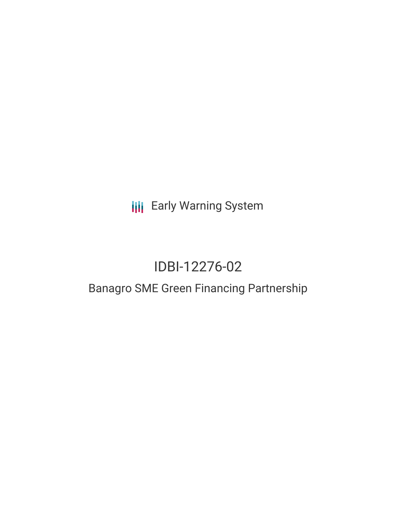**III** Early Warning System

# IDBI-12276-02

## Banagro SME Green Financing Partnership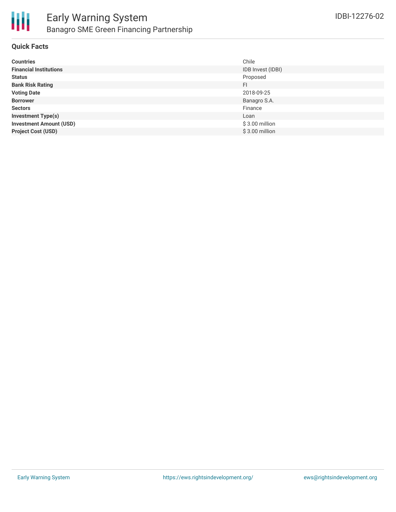

#### **Quick Facts**

| <b>Countries</b>               | Chile             |
|--------------------------------|-------------------|
| <b>Financial Institutions</b>  | IDB Invest (IDBI) |
| <b>Status</b>                  | Proposed          |
| <b>Bank Risk Rating</b>        | FI.               |
| <b>Voting Date</b>             | 2018-09-25        |
| <b>Borrower</b>                | Banagro S.A.      |
| <b>Sectors</b>                 | Finance           |
| <b>Investment Type(s)</b>      | Loan              |
| <b>Investment Amount (USD)</b> | $$3.00$ million   |
| <b>Project Cost (USD)</b>      | $$3.00$ million   |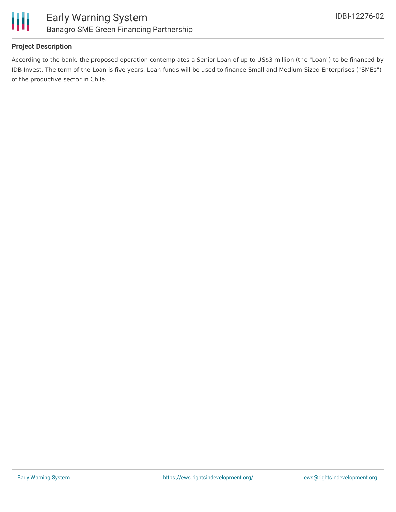

#### **Project Description**

According to the bank, the proposed operation contemplates a Senior Loan of up to US\$3 million (the "Loan") to be financed by IDB Invest. The term of the Loan is five years. Loan funds will be used to finance Small and Medium Sized Enterprises ("SMEs") of the productive sector in Chile.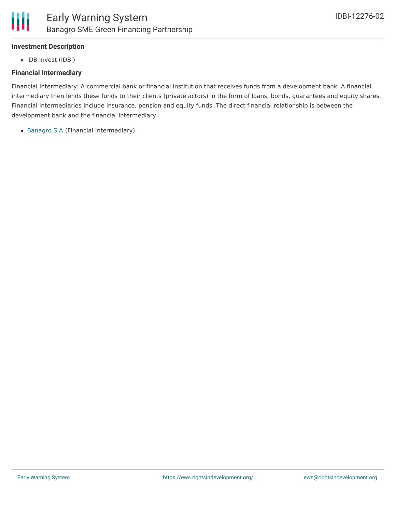#### **Investment Description**

• IDB Invest (IDBI)

#### **Financial Intermediary**

Financial Intermediary: A commercial bank or financial institution that receives funds from a development bank. A financial intermediary then lends these funds to their clients (private actors) in the form of loans, bonds, guarantees and equity shares. Financial intermediaries include insurance, pension and equity funds. The direct financial relationship is between the development bank and the financial intermediary.

[Banagro](file:///actor/1491/) S.A (Financial Intermediary)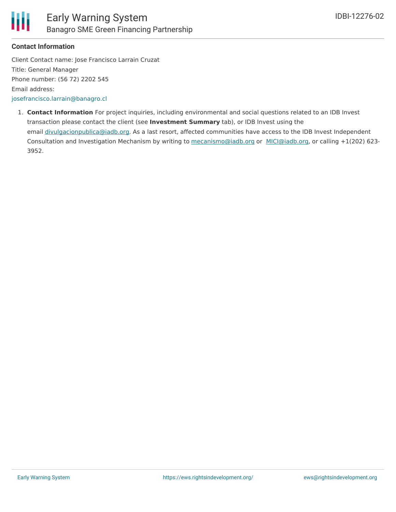

#### **Contact Information**

Client Contact name: Jose Francisco Larrain Cruzat Title: General Manager Phone number: (56 72) 2202 545 Email address: [josefrancisco.larrain@banagro.cl](mailto:josefrancisco.larrain@banagro.cl)

1. **Contact Information** For project inquiries, including environmental and social questions related to an IDB Invest transaction please contact the client (see **Investment Summary** tab), or IDB Invest using the email [divulgacionpublica@iadb.org](mailto:publica@iadb.org). As a last resort, affected communities have access to the IDB Invest Independent Consultation and Investigation Mechanism by writing to [mecanismo@iadb.org](mailto:mecanismo@iadb.org) or [MICI@iadb.org](mailto:MICI@iadb.org), or calling +1(202) 623-3952.